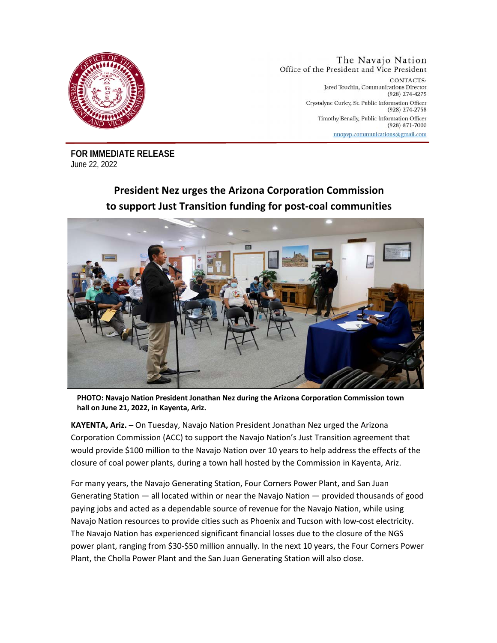

The Navajo Nation Office of the President and Vice President CONTACTS: Jared Touchin, Communications Director (928) 274-4275 Crystalyne Curley, Sr. Public Information Officer (928) 274-2758 Timothy Benally, Public Information Officer  $(928)$  871-7000 nnopvp.communications@gmail.com

**FOR IMMEDIATE RELEASE**  June 22, 2022

## **President Nez urges the Arizona Corporation Commission to support Just Transition funding for post-coal communities**



**PHOTO: Navajo Nation President Jonathan Nez during the Arizona Corporation Commission town hall on June 21, 2022, in Kayenta, Ariz.** 

**KAYENTA, Ariz. –** On Tuesday, Navajo Nation President Jonathan Nez urged the Arizona Corporation Commission (ACC) to support the Navajo Nation's Just Transition agreement that would provide \$100 million to the Navajo Nation over 10 years to help address the effects of the closure of coal power plants, during a town hall hosted by the Commission in Kayenta, Ariz.

For many years, the Navajo Generating Station, Four Corners Power Plant, and San Juan Generating Station — all located within or near the Navajo Nation — provided thousands of good paying jobs and acted as a dependable source of revenue for the Navajo Nation, while using Navajo Nation resources to provide cities such as Phoenix and Tucson with low-cost electricity. The Navajo Nation has experienced significant financial losses due to the closure of the NGS power plant, ranging from \$30-\$50 million annually. In the next 10 years, the Four Corners Power Plant, the Cholla Power Plant and the San Juan Generating Station will also close.